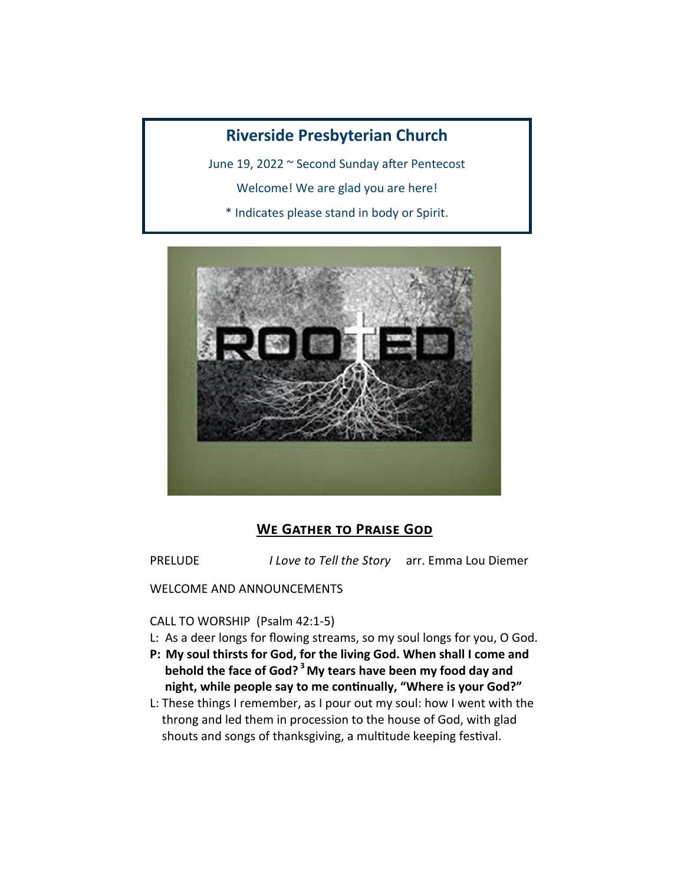# **Riverside Presbyterian Church**

June 19, 2022 ~ Second Sunday after Pentecost Welcome! We are glad you are here!

\* Indicates please stand in body or Spirit.



# **WE GATHER TO PRAISE GOD**

PRELUDE *I Love to Tell the Story* arr. Emma Lou Diemer

WELCOME AND ANNOUNCEMENTS

CALL TO WORSHIP (Psalm 42:1‐5)

- L: As a deer longs for flowing streams, so my soul longs for you, O God.
- **P: My soul thirsts for God, for the living God. When shall I come and behold the face of God? 3 My tears have been my food day and**  night, while people say to me continually, "Where is your God?"
- L: These things I remember, as I pour out my soul: how I went with the throng and led them in procession to the house of God, with glad shouts and songs of thanksgiving, a multitude keeping festival.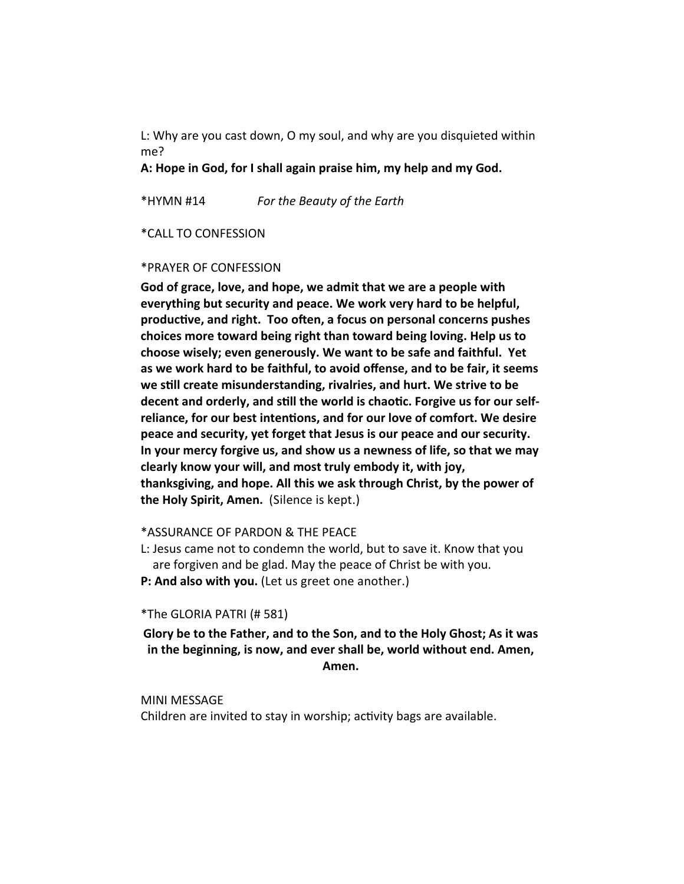L: Why are you cast down, O my soul, and why are you disquieted within me?

#### **A: Hope in God, for I shall again praise him, my help and my God.**

\*HYMN #14 *For the Beauty of the Earth* 

\*CALL TO CONFESSION

#### \*PRAYER OF CONFESSION

**God of grace, love, and hope, we admit that we are a people with everything but security and peace. We work very hard to be helpful,**  productive, and right. Too often, a focus on personal concerns pushes **choices more toward being right than toward being loving. Help us to choose wisely; even generously. We want to be safe and faithful. Yet as we work hard to be faithful, to avoid offense, and to be fair, it seems we sƟll create misunderstanding, rivalries, and hurt. We strive to be**  decent and orderly, and still the world is chaotic. Forgive us for our selfreliance, for our best intentions, and for our love of comfort. We desire **peace and security, yet forget that Jesus is our peace and our security. In your mercy forgive us, and show us a newness of life, so that we may clearly know your will, and most truly embody it, with joy, thanksgiving, and hope. All this we ask through Christ, by the power of the Holy Spirit, Amen.** (Silence is kept.)

#### \*ASSURANCE OF PARDON & THE PEACE

L: Jesus came not to condemn the world, but to save it. Know that you are forgiven and be glad. May the peace of Christ be with you. **P: And also with you.** (Let us greet one another.)

#### \*The GLORIA PATRI (# 581)

**Glory be to the Father, and to the Son, and to the Holy Ghost; As it was in the beginning, is now, and ever shall be, world without end. Amen, Amen.**

MINI MESSAGE Children are invited to stay in worship; activity bags are available.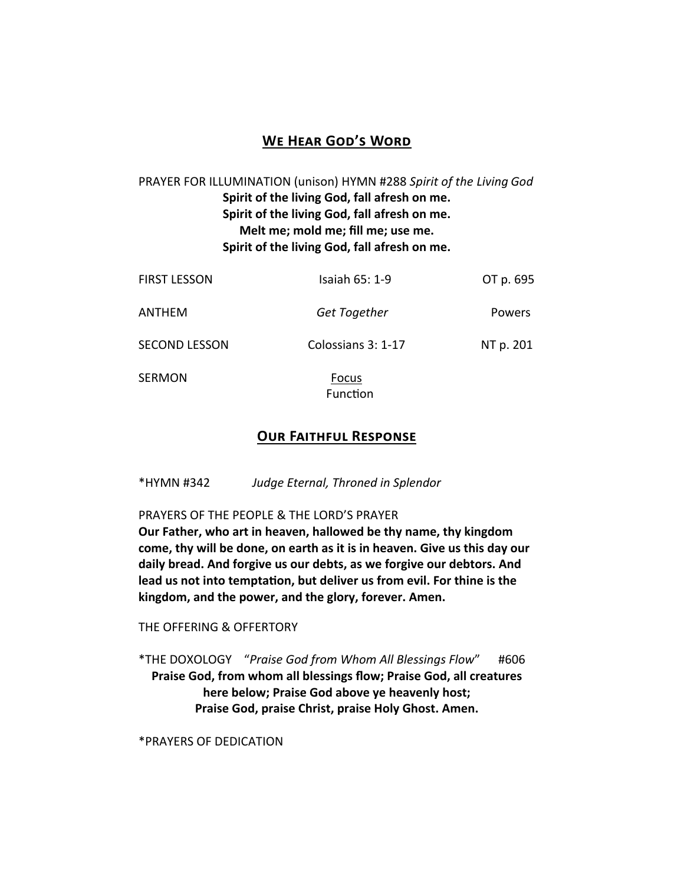# **WE HEAR GOD'S WORD**

# PRAYER FOR ILLUMINATION (unison) HYMN #288 Spirit of the Living God Spirit of the living God, fall afresh on me. Spirit of the living God, fall afresh on me. Melt me; mold me; fill me; use me. Spirit of the living God, fall afresh on me.

| <b>FIRST LESSON</b>  | Isaiah 65: 1-9     | OT p. 695     |
|----------------------|--------------------|---------------|
| ANTHEM               | Get Together       | <b>Powers</b> |
| <b>SECOND LESSON</b> | Colossians 3: 1-17 | NT p. 201     |
| <b>SERMON</b>        | Focus<br>Function  |               |

# **OUR FAITHFUL RESPONSE**

Judge Eternal, Throned in Splendor \*HYMN #342

PRAYERS OF THE PEOPLE & THE LORD'S PRAYER

Our Father, who art in heaven, hallowed be thy name, thy kingdom come, thy will be done, on earth as it is in heaven. Give us this day our daily bread. And forgive us our debts, as we forgive our debtors. And lead us not into temptation, but deliver us from evil. For thine is the kingdom, and the power, and the glory, forever. Amen.

THE OFFERING & OFFERTORY

\*THE DOXOLOGY "Praise God from Whom All Blessings Flow" #606 Praise God, from whom all blessings flow; Praise God, all creatures here below; Praise God above ye heavenly host; Praise God, praise Christ, praise Holy Ghost. Amen.

\*PRAYERS OF DEDICATION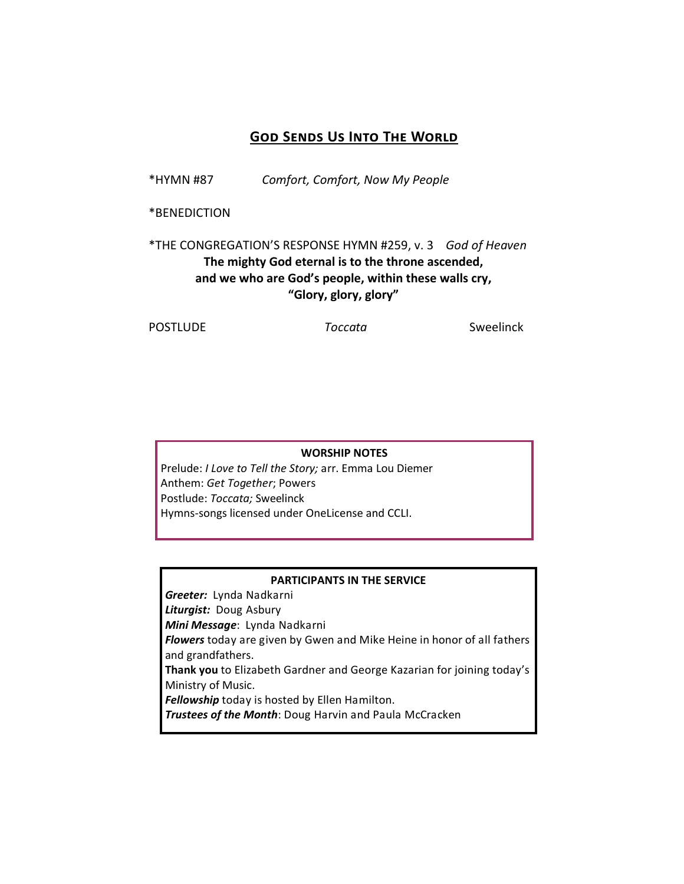# **GOD SENDS US INTO THE WORLD**

#### \*HYMN #87 Comfort, Comfort, Now My People

#### \*BENEDICTION

# \*THE CONGREGATION'S RESPONSE HYMN #259, v. 3 God of Heaven The mighty God eternal is to the throne ascended, and we who are God's people, within these walls cry, "Glory, glory, glory"

**POSTLUDE** 

Toccata

Sweelinck

#### **WORSHIP NOTES**

Prelude: I Love to Tell the Story; arr. Emma Lou Diemer Anthem: Get Together; Powers Postlude: Toccata; Sweelinck Hymns-songs licensed under OneLicense and CCLI.

### **PARTICIPANTS IN THE SERVICE**

Greeter: Lynda Nadkarni Liturgist: Doug Asbury Mini Message: Lynda Nadkarni Flowers today are given by Gwen and Mike Heine in honor of all fathers and grandfathers. Thank you to Elizabeth Gardner and George Kazarian for joining today's Ministry of Music. Fellowship today is hosted by Ellen Hamilton. Trustees of the Month: Doug Harvin and Paula McCracken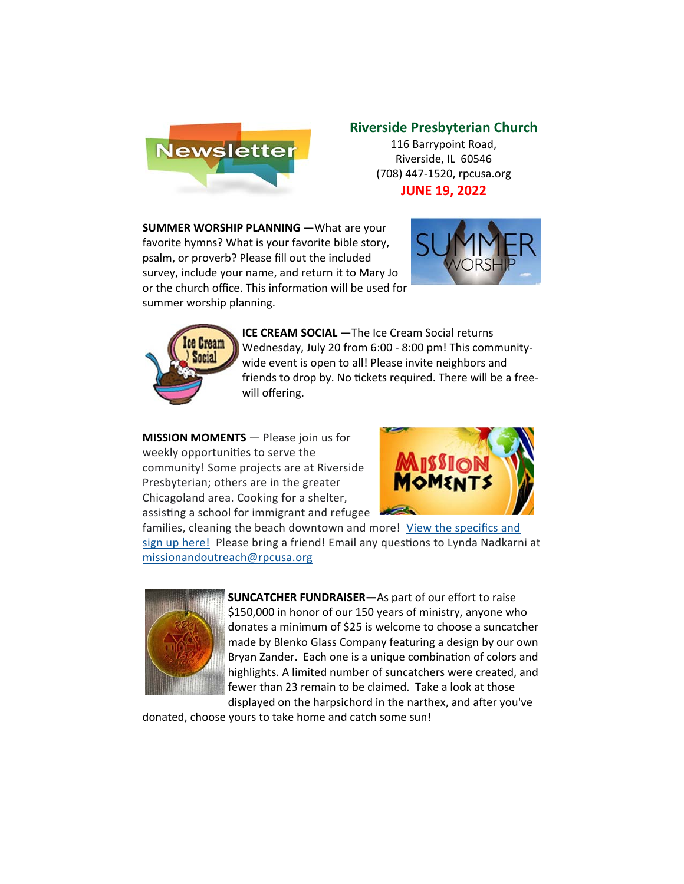

### **Riverside Presbyterian Church**

116 Barrypoint Road, Riverside, IL 60546 (708) 447‐1520, rpcusa.org **JUNE 19, 2022** 

**SUMMER WORSHIP PLANNING** —What are your favorite hymns? What is your favorite bible story, psalm, or proverb? Please fill out the included survey, include your name, and return it to Mary Jo or the church office. This information will be used for summer worship planning.





**ICE CREAM SOCIAL** - The Ice Cream Social returns Wednesday, July 20 from 6:00 ‐ 8:00 pm! This community‐ wide event is open to all! Please invite neighbors and friends to drop by. No tickets required. There will be a freewill offering.

**MISSION MOMENTS** — Please join us for weekly opportunities to serve the community! Some projects are at Riverside Presbyterian; others are in the greater Chicagoland area. Cooking for a shelter, assisting a school for immigrant and refugee



families, cleaning the beach downtown and more! View the specifics and sign up here! Please bring a friend! Email any questions to Lynda Nadkarni at missionandoutreach@rpcusa.org



**SUNCATCHER FUNDRAISER—**As part of our effort to raise \$150,000 in honor of our 150 years of ministry, anyone who donates a minimum of \$25 is welcome to choose a suncatcher made by Blenko Glass Company featuring a design by our own Bryan Zander. Each one is a unique combination of colors and highlights. A limited number of suncatchers were created, and fewer than 23 remain to be claimed. Take a look at those displayed on the harpsichord in the narthex, and after you've

donated, choose yours to take home and catch some sun!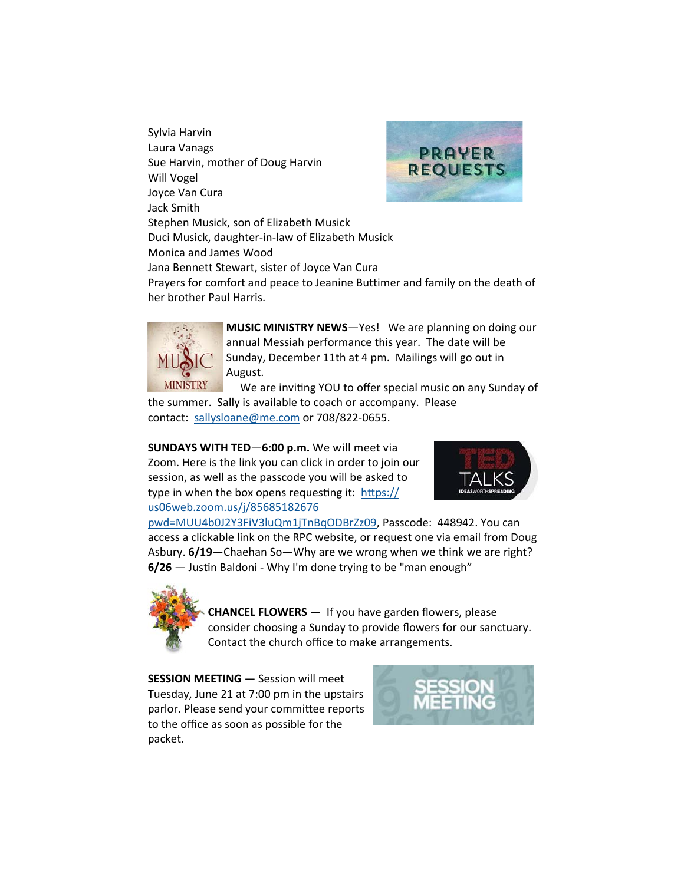Sylvia Harvin Laura Vanags **PRAYER** Sue Harvin, mother of Doug Harvin **REQUESTS** Will Vogel Joyce Van Cura Jack Smith Stephen Musick, son of Elizabeth Musick Duci Musick, daughter‐in‐law of Elizabeth Musick Monica and James Wood Jana Bennett Stewart, sister of Joyce Van Cura Prayers for comfort and peace to Jeanine Buttimer and family on the death of her brother Paul Harris.



**MUSIC MINISTRY NEWS**—Yes! We are planning on doing our annual Messiah performance this year. The date will be Sunday, December 11th at 4 pm. Mailings will go out in August.

We are inviting YOU to offer special music on any Sunday of the summer. Sally is available to coach or accompany. Please contact: sallysloane@me.com or 708/822-0655.

**SUNDAYS WITH TED**—**6:00 p.m.** We will meet via Zoom. Here is the link you can click in order to join our session, as well as the passcode you will be asked to type in when the box opens requesting it:  $h$ ttps:// us06web.zoom.us/j/85685182676



pwd=MUU4b0J2Y3FiV3luQm1jTnBqODBrZz09, Passcode: 448942. You can access a clickable link on the RPC website, or request one via email from Doug Asbury. **6/19**—Chaehan So—Why are we wrong when we think we are right? **6/26** — Justin Baldoni - Why I'm done trying to be "man enough"



**CHANCEL FLOWERS** — If you have garden flowers, please consider choosing a Sunday to provide flowers for our sanctuary. Contact the church office to make arrangements.

**SESSION MEETING** — Session will meet Tuesday, June 21 at 7:00 pm in the upstairs parlor. Please send your committee reports to the office as soon as possible for the packet.

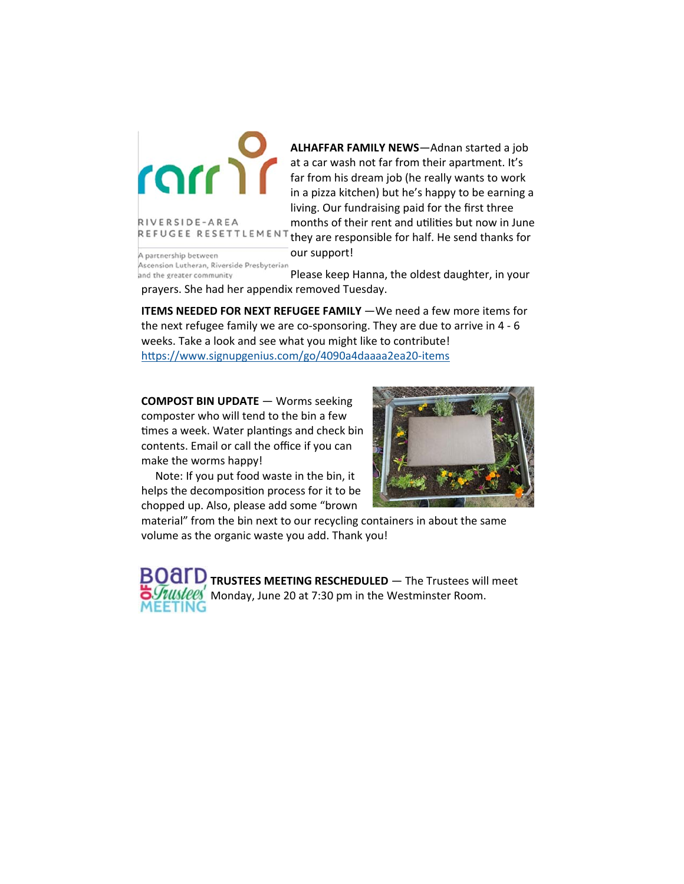

A partnership between

**ALHAFFAR FAMILY NEWS**—Adnan started a job at a car wash not far from their apartment. It's far from his dream job (he really wants to work in a pizza kitchen) but he's happy to be earning a living. Our fundraising paid for the first three months of their rent and utilities but now in June

they are responsible for half. He send thanks for our support!

Ascension Lutheran, Riverside Presbyterian and the greater community Please keep Hanna, the oldest daughter, in your prayers. She had her appendix removed Tuesday.

**ITEMS NEEDED FOR NEXT REFUGEE FAMILY** —We need a few more items for the next refugee family we are co‐sponsoring. They are due to arrive in 4 ‐ 6 weeks. Take a look and see what you might like to contribute! https://www.signupgenius.com/go/4090a4daaaa2ea20-items

**COMPOST BIN UPDATE** — Worms seeking composter who will tend to the bin a few times a week. Water plantings and check bin contents. Email or call the office if you can make the worms happy!

 Note: If you put food waste in the bin, it helps the decomposition process for it to be chopped up. Also, please add some "brown

material" from the bin next to our recycling containers in about the same volume as the organic waste you add. Thank you!

 $\mathbf{B}\mathbf{O}\mathbf{d}\mathbf{\Gamma}\mathbf{D}$  **TRUSTEES MEETING RESCHEDULED** — The Trustees will meet  $\ell\ell\ell'$  Monday, June 20 at 7:30 pm in the Westminster Room.